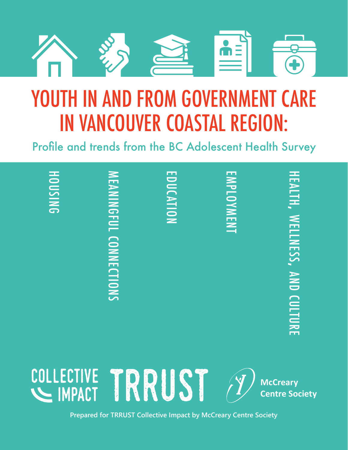

## YOUTH IN AND FROM GOVERNMENT CARE IN VANCOUVER COASTAL REGION:

Profile and trends from the BC Adolescent Health Survey



**Prepared for TRRUST Collective Impact by McCreary Centre Society**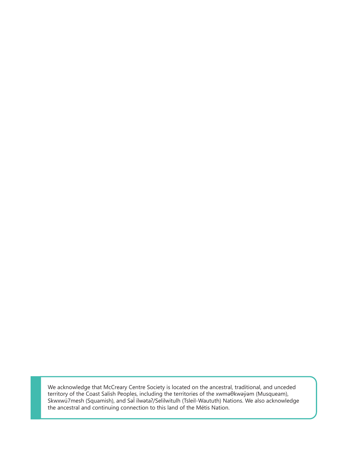We acknowledge that McCreary Centre Society is located on the ancestral, traditional, and unceded territory of the Coast Salish Peoples, including the territories of the xwməθkwəy̓əm (Musqueam), Skwxwú7mesh (Squamish), and Səl ílwətaʔ/Selilwitulh (Tsleil-Waututh) Nations. We also acknowledge the ancestral and continuing connection to this land of the Métis Nation.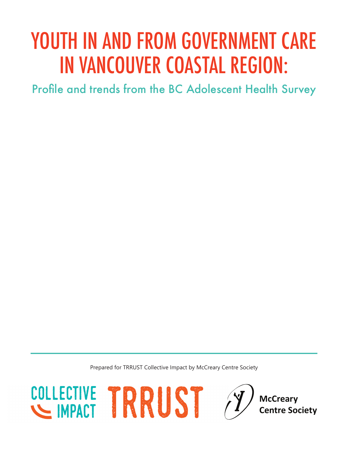## YOUTH IN AND FROM GOVERNMENT CARE IN VANCOUVER COASTAL REGION:

Profile and trends from the BC Adolescent Health Survey

Prepared for TRRUST Collective Impact by McCreary Centre Society

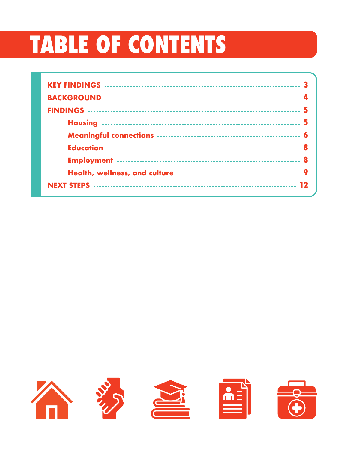# **TABLE OF CONTENTS**

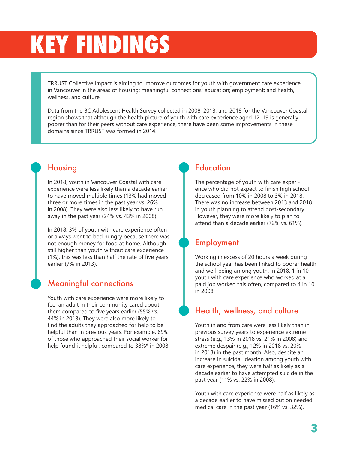# <span id="page-4-0"></span>**KEY FINDINGS**

TRRUST Collective Impact is aiming to improve outcomes for youth with government care experience in Vancouver in the areas of housing; meaningful connections; education; employment; and health, wellness, and culture.

Data from the BC Adolescent Health Survey collected in 2008, 2013, and 2018 for the Vancouver Coastal region shows that although the health picture of youth with care experience aged 12–19 is generally poorer than for their peers without care experience, there have been some improvements in these domains since TRRUST was formed in 2014.

#### Housing

In 2018, youth in Vancouver Coastal with care experience were less likely than a decade earlier to have moved multiple times (13% had moved three or more times in the past year vs. 26% in 2008). They were also less likely to have run away in the past year (24% vs. 43% in 2008).

In 2018, 3% of youth with care experience often or always went to bed hungry because there was not enough money for food at home. Although still higher than youth without care experience (1%), this was less than half the rate of five years earlier (7% in 2013).

#### Meaningful connections

Youth with care experience were more likely to feel an adult in their community cared about them compared to five years earlier (55% vs. 44% in 2013). They were also more likely to find the adults they approached for help to be helpful than in previous years. For example, 69% of those who approached their social worker for help found it helpful, compared to 38%\* in 2008.

### **Education**

The percentage of youth with care experience who did not expect to finish high school decreased from 10% in 2008 to 3% in 2018. There was no increase between 2013 and 2018 in youth planning to attend post-secondary. However, they were more likely to plan to attend than a decade earlier (72% vs. 61%).

### **Employment**

Working in excess of 20 hours a week during the school year has been linked to poorer health and well-being among youth. In 2018, 1 in 10 youth with care experience who worked at a paid job worked this often, compared to 4 in 10 in 2008.

#### Health, wellness, and culture

Youth in and from care were less likely than in previous survey years to experience extreme stress (e.g., 13% in 2018 vs. 21% in 2008) and extreme despair (e.g., 12% in 2018 vs. 20% in 2013) in the past month. Also, despite an increase in suicidal ideation among youth with care experience, they were half as likely as a decade earlier to have attempted suicide in the past year (11% vs. 22% in 2008).

Youth with care experience were half as likely as a decade earlier to have missed out on needed medical care in the past year (16% vs. 32%).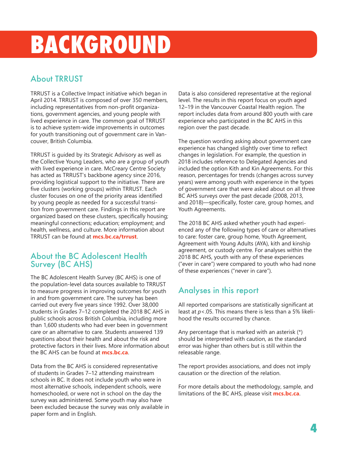# <span id="page-5-0"></span>**BACKGROUND**

### About TRRUST

TRRUST is a Collective Impact initiative which began in April 2014. TRRUST is composed of over 350 members, including representatives from non-profit organizations, government agencies, and young people with lived experience in care. The common goal of TRRUST is to achieve system-wide improvements in outcomes for youth transitioning out of government care in Vancouver, British Columbia.

TRRUST is guided by its Strategic Advisory as well as the Collective Young Leaders, who are a group of youth with lived experience in care. McCreary Centre Society has acted as TRRUST's backbone agency since 2016, providing logistical support to the initiative. There are five clusters (working groups) within TRRUST. Each cluster focuses on one of the priority areas identified by young people as needed for a successful transition from government care. Findings in this report are organized based on these clusters, specifically housing; meaningful connections; education; employment; and health, wellness, and culture. More information about TRRUST can be found at **[mcs.bc.ca/trrust](https://www.mcs.bc.ca/trrust)**.

#### About the BC Adolescent Health Survey (BC AHS)

The BC Adolescent Health Survey (BC AHS) is one of the population-level data sources available to TRRUST to measure progress in improving outcomes for youth in and from government care. The survey has been carried out every five years since 1992. Over 38,000 students in Grades 7–12 completed the 2018 BC AHS in public schools across British Columbia, including more than 1,600 students who had ever been in government care or an alternative to care. Students answered 139 questions about their health and about the risk and protective factors in their lives. More information about the BC AHS can be found at **[mcs.bc.ca](https://mcs.bc.ca)**.

Data from the BC AHS is considered representative of students in Grades 7–12 attending mainstream schools in BC. It does not include youth who were in most alternative schools, independent schools, were homeschooled, or were not in school on the day the survey was administered. Some youth may also have been excluded because the survey was only available in paper form and in English.

Data is also considered representative at the regional level. The results in this report focus on youth aged 12–19 in the Vancouver Coastal Health region. The report includes data from around 800 youth with care experience who participated in the BC AHS in this region over the past decade.

The question wording asking about government care experience has changed slightly over time to reflect changes in legislation. For example, the question in 2018 includes reference to Delegated Agencies and included the option Kith and Kin Agreements. For this reason, percentages for trends (changes across survey years) were among youth with experience in the types of government care that were asked about on all three BC AHS surveys over the past decade (2008, 2013, and 2018)—specifically, foster care, group homes, and Youth Agreements.

The 2018 BC AHS asked whether youth had experienced any of the following types of care or alternatives to care: foster care, group home, Youth Agreement, Agreement with Young Adults (AYA), kith and kinship agreement, or custody centre. For analyses within the 2018 BC AHS, youth with any of these experiences ("ever in care") were compared to youth who had none of these experiences ("never in care").

#### Analyses in this report

All reported comparisons are statistically significant at least at *p*<.05. This means there is less than a 5% likelihood the results occurred by chance.

Any percentage that is marked with an asterisk (\*) should be interpreted with caution, as the standard error was higher than others but is still within the releasable range.

The report provides associations, and does not imply causation or the direction of the relation.

For more details about the methodology, sample, and limitations of the BC AHS, please visit **[mcs.bc.ca](https://www.mcs.bc.ca)**.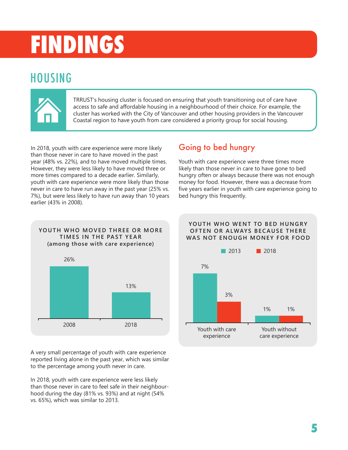# <span id="page-6-0"></span>**FINDINGS**

## HOUSING



TRRUST's housing cluster is focused on ensuring that youth transitioning out of care have access to safe and affordable housing in a neighbourhood of their choice. For example, the cluster has worked with the City of Vancouver and other housing providers in the Vancouver Coastal region to have youth from care considered a priority group for social housing.

In 2018, youth with care experience were more likely than those never in care to have moved in the past year (48% vs. 22%), and to have moved multiple times. However, they were less likely to have moved three or more times compared to a decade earlier. Similarly, youth with care experience were more likely than those never in care to have run away in the past year (25% vs. 7%), but were less likely to have run away than 10 years earlier (43% in 2008).



A very small percentage of youth with care experience reported living alone in the past year, which was similar to the percentage among youth never in care.

In 2018, youth with care experience were less likely than those never in care to feel safe in their neighbourhood during the day (81% vs. 93%) and at night (54% vs. 65%), which was similar to 2013.

### Going to bed hungry

Youth with care experience were three times more likely than those never in care to have gone to bed hungry often or always because there was not enough money for food. However, there was a decrease from five years earlier in youth with care experience going to bed hungry this frequently.



**YOUTH WHO WENT TO BED HUNGRY**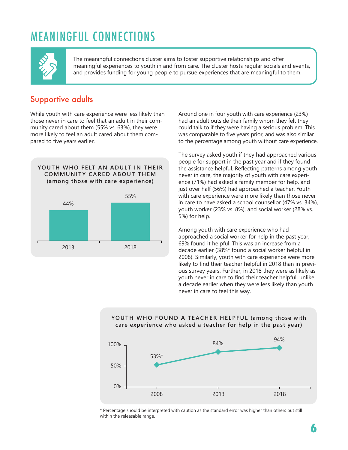## <span id="page-7-0"></span>MEANINGFUL CONNECTIONS



The meaningful connections cluster aims to foster supportive relationships and offer meaningful experiences to youth in and from care. The cluster hosts regular socials and events, and provides funding for young people to pursue experiences that are meaningful to them.

#### Supportive adults

While youth with care experience were less likely than those never in care to feel that an adult in their community cared about them (55% vs. 63%), they were more likely to feel an adult cared about them compared to five years earlier.



Around one in four youth with care experience (23%) had an adult outside their family whom they felt they could talk to if they were having a serious problem. This was comparable to five years prior, and was also similar to the percentage among youth without care experience.

The survey asked youth if they had approached various people for support in the past year and if they found the assistance helpful. Reflecting patterns among youth never in care, the majority of youth with care experience (71%) had asked a family member for help, and just over half (56%) had approached a teacher. Youth with care experience were more likely than those never in care to have asked a school counsellor (47% vs. 34%), youth worker (23% vs. 8%), and social worker (28% vs. 5%) for help.

Among youth with care experience who had approached a social worker for help in the past year, 69% found it helpful. This was an increase from a decade earlier (38%\* found a social worker helpful in 2008). Similarly, youth with care experience were more likely to find their teacher helpful in 2018 than in previous survey years. Further, in 2018 they were as likely as youth never in care to find their teacher helpful, unlike a decade earlier when they were less likely than youth never in care to feel this way.



\* Percentage should be interpreted with caution as the standard error was higher than others but still within the releasable range.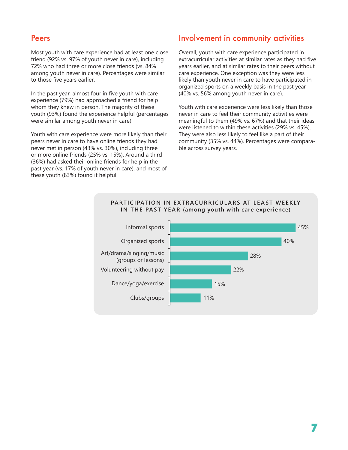#### Peers

Most youth with care experience had at least one close friend (92% vs. 97% of youth never in care), including 72% who had three or more close friends (vs. 84% among youth never in care). Percentages were similar to those five years earlier.

In the past year, almost four in five youth with care experience (79%) had approached a friend for help whom they knew in person. The majority of these youth (93%) found the experience helpful (percentages were similar among youth never in care).

Youth with care experience were more likely than their peers never in care to have online friends they had never met in person (43% vs. 30%), including three or more online friends (25% vs. 15%). Around a third (36%) had asked their online friends for help in the past year (vs. 17% of youth never in care), and most of these youth (83%) found it helpful.

#### Involvement in community activities

Overall, youth with care experience participated in extracurricular activities at similar rates as they had five years earlier, and at similar rates to their peers without care experience. One exception was they were less likely than youth never in care to have participated in organized sports on a weekly basis in the past year (40% vs. 56% among youth never in care).

Youth with care experience were less likely than those never in care to feel their community activities were meaningful to them (49% vs. 67%) and that their ideas were listened to within these activities (29% vs. 45%). They were also less likely to feel like a part of their community (35% vs. 44%). Percentages were comparable across survey years.



#### PARTICIPATION IN EXTRACURRICULARS AT LEAST WEEKLY **IN THE PAST YEAR (among youth with care experience)**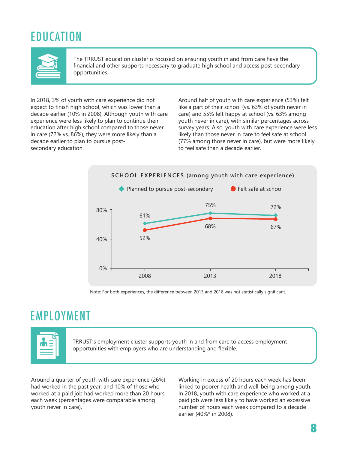## <span id="page-9-0"></span>**EDUCATION**



The TRRUST education cluster is focused on ensuring youth in and from care have the financial and other supports necessary to graduate high school and access post-secondary opportunities.

In 2018, 3% of youth with care experience did not expect to finish high school, which was lower than a decade earlier (10% in 2008). Although youth with care experience were less likely to plan to continue their education after high school compared to those never in care (72% vs. 86%), they were more likely than a decade earlier to plan to pursue postsecondary education.

Around half of youth with care experience (53%) felt like a part of their school (vs. 63% of youth never in care) and 55% felt happy at school (vs. 63% among youth never in care), with similar percentages across survey years. Also, youth with care experience were less likely than those never in care to feel safe at school (77% among those never in care), but were more likely to feel safe than a decade earlier.



Note: For both experiences, the difference between 2013 and 2018 was not statistically significant.

### EMPLOYMENT



TRRUST's employment cluster supports youth in and from care to access employment opportunities with employers who are understanding and flexible.

Around a quarter of youth with care experience (26%) had worked in the past year, and 10% of those who worked at a paid job had worked more than 20 hours each week (percentages were comparable among youth never in care).

Working in excess of 20 hours each week has been linked to poorer health and well-being among youth. In 2018, youth with care experience who worked at a paid job were less likely to have worked an excessive number of hours each week compared to a decade earlier (40%\* in 2008).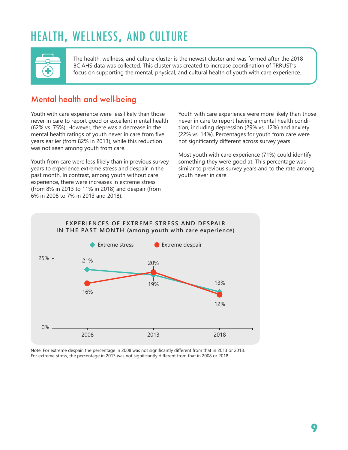## <span id="page-10-0"></span>HEALTH**,** WELLNESS**,** AND CULTURE



The health, wellness, and culture cluster is the newest cluster and was formed after the 2018 BC AHS data was collected. This cluster was created to increase coordination of TRRUST's focus on supporting the mental, physical, and cultural health of youth with care experience.

#### Mental health and well-being

Youth with care experience were less likely than those never in care to report good or excellent mental health (62% vs. 75%). However, there was a decrease in the mental health ratings of youth never in care from five years earlier (from 82% in 2013), while this reduction was not seen among youth from care.

Youth from care were less likely than in previous survey years to experience extreme stress and despair in the past month. In contrast, among youth without care experience, there were increases in extreme stress (from 8% in 2013 to 11% in 2018) and despair (from 6% in 2008 to 7% in 2013 and 2018).

Youth with care experience were more likely than those never in care to report having a mental health condition, including depression (29% vs. 12%) and anxiety (22% vs. 14%). Percentages for youth from care were not significantly different across survey years.

Most youth with care experience (71%) could identify something they were good at. This percentage was similar to previous survey years and to the rate among youth never in care.



Note: For extreme despair, the percentage in 2008 was not significantly different from that in 2013 or 2018. For extreme stress, the percentage in 2013 was not significantly different from that in 2008 or 2018.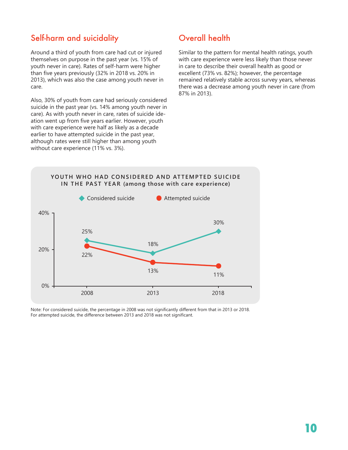#### Self-harm and suicidality

Around a third of youth from care had cut or injured themselves on purpose in the past year (vs. 15% of youth never in care). Rates of self-harm were higher than five years previously (32% in 2018 vs. 20% in 2013), which was also the case among youth never in care.

Also, 30% of youth from care had seriously considered suicide in the past year (vs. 14% among youth never in care). As with youth never in care, rates of suicide ideation went up from five years earlier. However, youth with care experience were half as likely as a decade earlier to have attempted suicide in the past year, although rates were still higher than among youth without care experience (11% vs. 3%).

#### Overall health

Similar to the pattern for mental health ratings, youth with care experience were less likely than those never in care to describe their overall health as good or excellent (73% vs. 82%); however, the percentage remained relatively stable across survey years, whereas there was a decrease among youth never in care (from 87% in 2013).



Note: For considered suicide, the percentage in 2008 was not significantly different from that in 2013 or 2018. For attempted suicide, the difference between 2013 and 2018 was not significant.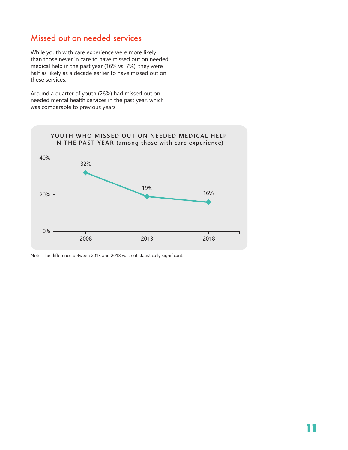#### Missed out on needed services

While youth with care experience were more likely than those never in care to have missed out on needed medical help in the past year (16% vs. 7%), they were half as likely as a decade earlier to have missed out on these services.

Around a quarter of youth (26%) had missed out on needed mental health services in the past year, which was comparable to previous years.



Note: The difference between 2013 and 2018 was not statistically significant.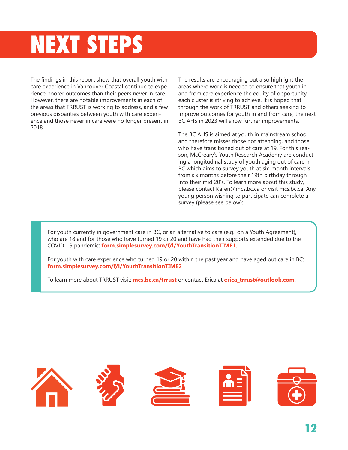## <span id="page-13-0"></span>**NEXT STEPS**

The findings in this report show that overall youth with care experience in Vancouver Coastal continue to experience poorer outcomes than their peers never in care. However, there are notable improvements in each of the areas that TRRUST is working to address, and a few previous disparities between youth with care experience and those never in care were no longer present in 2018.

The results are encouraging but also highlight the areas where work is needed to ensure that youth in and from care experience the equity of opportunity each cluster is striving to achieve. It is hoped that through the work of TRRUST and others seeking to improve outcomes for youth in and from care, the next BC AHS in 2023 will show further improvements.

The BC AHS is aimed at youth in mainstream school and therefore misses those not attending, and those who have transitioned out of care at 19. For this reason, McCreary's Youth Research Academy are conducting a longitudinal study of youth aging out of care in BC which aims to survey youth at six-month intervals from six months before their 19th birthday through into their mid 20's. To learn more about this study, please contact [Karen@mcs.bc.ca](mailto:Karen%40mcs.bc.ca?subject=) or visit [mcs.bc.ca.](https://www.mcs.bc.ca) Any young person wishing to participate can complete a survey (please see below):

For youth currently in government care in BC, or an alternative to care (e.g., on a Youth Agreement), who are 18 and for those who have turned 19 or 20 and have had their supports extended due to the COVID-19 pandemic: **[form.simplesurvey.com/f/l/YouthTransitionTIME1.](https://form.simplesurvey.com/f/s.aspx?s=4CB2904A-4589-47C8-A5AA-0237F7D3D1A0)** 

For youth with care experience who turned 19 or 20 within the past year and have aged out care in BC: **[form.simplesurvey.com/f/l/YouthTransitionTIME2](https://form.simplesurvey.com/f/l/YouthTransitionTIME2)**.

To learn more about TRRUST visit: **[mcs.bc.ca/trrust](https://mcs.bc.ca/trrust)** or contact Erica at **[erica\\_trrust@outlook.com](mailto:erica_trrust%40outlook.com?subject=)**.